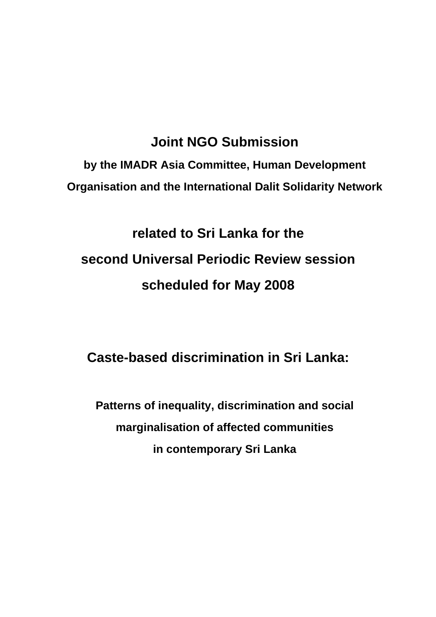# **Joint NGO Submission**

**by the IMADR Asia Committee, Human Development Organisation and the International Dalit Solidarity Network** 

# **related to Sri Lanka for the second Universal Periodic Review session scheduled for May 2008**

# **Caste-based discrimination in Sri Lanka:**

**Patterns of inequality, discrimination and social marginalisation of affected communities in contemporary Sri Lanka**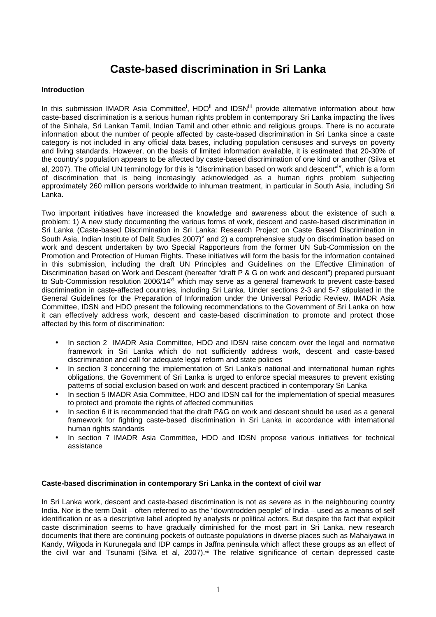## **Caste-based discrimination in Sri Lanka**

#### **Introduction**

In this submission IMADR Asia Committee<sup>i</sup>, HDO<sup>ii</sup> and IDSN<sup>iii</sup> provide alternative information about how caste-based discrimination is a serious human rights problem in contemporary Sri Lanka impacting the lives of the Sinhala, Sri Lankan Tamil, Indian Tamil and other ethnic and religious groups. There is no accurate information about the number of people affected by caste-based discrimination in Sri Lanka since a caste category is not included in any official data bases, including population censuses and surveys on poverty and living standards. However, on the basis of limited information available, it is estimated that 20-30% of the country's population appears to be affected by caste-based discrimination of one kind or another (Silva et al, 2007). The official UN terminology for this is "discrimination based on work and descent"<sup>iv</sup>, which is a form of discrimination that is being increasingly acknowledged as a human rights problem subjecting approximately 260 million persons worldwide to inhuman treatment, in particular in South Asia, including Sri Lanka.

Two important initiatives have increased the knowledge and awareness about the existence of such a problem: 1) A new study documenting the various forms of work, descent and caste-based discrimination in Sri Lanka (Caste-based Discrimination in Sri Lanka: Research Project on Caste Based Discrimination in South Asia, Indian Institute of Dalit Studies 2007)<sup>v</sup> and 2) a comprehensive study on discrimination based on work and descent undertaken by two Special Rapporteurs from the former UN Sub-Commission on the Promotion and Protection of Human Rights. These initiatives will form the basis for the information contained in this submission, including the draft UN Principles and Guidelines on the Effective Elimination of Discrimination based on Work and Descent (hereafter "draft P & G on work and descent") prepared pursuant to Sub-Commission resolution 2006/14<sup>vi</sup> which may serve as a general framework to prevent caste-based discrimination in caste-affected countries, including Sri Lanka. Under sections 2-3 and 5-7 stipulated in the General Guidelines for the Preparation of Information under the Universal Periodic Review, IMADR Asia Committee, IDSN and HDO present the following recommendations to the Government of Sri Lanka on how it can effectively address work, descent and caste-based discrimination to promote and protect those affected by this form of discrimination:

- In section 2 IMADR Asia Committee, HDO and IDSN raise concern over the legal and normative framework in Sri Lanka which do not sufficiently address work, descent and caste-based discrimination and call for adequate legal reform and state policies
- In section 3 concerning the implementation of Sri Lanka's national and international human rights obligations, the Government of Sri Lanka is urged to enforce special measures to prevent existing patterns of social exclusion based on work and descent practiced in contemporary Sri Lanka
- In section 5 IMADR Asia Committee, HDO and IDSN call for the implementation of special measures to protect and promote the rights of affected communities
- In section 6 it is recommended that the draft P&G on work and descent should be used as a general framework for fighting caste-based discrimination in Sri Lanka in accordance with international human rights standards
- In section 7 IMADR Asia Committee, HDO and IDSN propose various initiatives for technical assistance

#### **Caste-based discrimination in contemporary Sri Lanka in the context of civil war**

In Sri Lanka work, descent and caste-based discrimination is not as severe as in the neighbouring country India. Nor is the term Dalit – often referred to as the "downtrodden people" of India – used as a means of self identification or as a descriptive label adopted by analysts or political actors. But despite the fact that explicit caste discrimination seems to have gradually diminished for the most part in Sri Lanka, new research documents that there are continuing pockets of outcaste populations in diverse places such as Mahaiyawa in Kandy, Wilgoda in Kurunegala and IDP camps in Jaffna peninsula which affect these groups as an effect of the civil war and Tsunami (Silva et al, 2007).<sup>vii</sup> The relative significance of certain depressed caste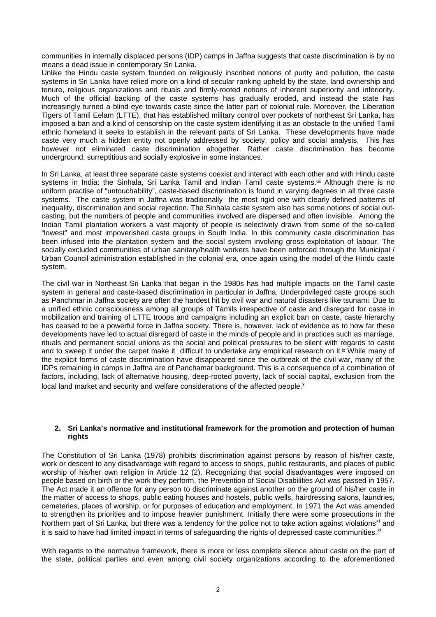communities in internally displaced persons (IDP) camps in Jaffna suggests that caste discrimination is by no means a dead issue in contemporary Sri Lanka.

Unlike the Hindu caste system founded on religiously inscribed notions of purity and pollution, the caste systems in Sri Lanka have relied more on a kind of secular ranking upheld by the state, land ownership and tenure, religious organizations and rituals and firmly-rooted notions of inherent superiority and inferiority. Much of the official backing of the caste systems has gradually eroded, and instead the state has increasingly turned a blind eye towards caste since the latter part of colonial rule. Moreover, the Liberation Tigers of Tamil Eelam (LTTE), that has established military control over pockets of northeast Sri Lanka, has imposed a ban and a kind of censorship on the caste system identifying it as an obstacle to the unified Tamil ethnic homeland it seeks to establish in the relevant parts of Sri Lanka. These developments have made caste very much a hidden entity not openly addressed by society, policy and social analysis. This has however not eliminated caste discrimination altogether. Rather caste discrimination has become underground, surreptitious and socially explosive in some instances.

In Sri Lanka, at least three separate caste systems coexist and interact with each other and with Hindu caste systems in India: the Sinhala, Sri Lanka Tamil and Indian Tamil caste systems.<sup>vii</sup> Although there is no uniform practise of "untouchability", caste-based discrimination is found in varying degrees in all three caste systems. The caste system in Jaffna was traditionally the most rigid one with clearly defined patterns of inequality, discrimination and social rejection. The Sinhala caste system also has some notions of social outcasting, but the numbers of people and communities involved are dispersed and often invisible. Among the Indian Tamil plantation workers a vast majority of people is selectively drawn from some of the so-called "lowest" and most impoverished caste groups in South India. In this community caste discrimination has been infused into the plantation system and the social system involving gross exploitation of labour. The socially excluded communities of urban sanitary/health workers have been enforced through the Municipal / Urban Council administration established in the colonial era, once again using the model of the Hindu caste system.

The civil war in Northeast Sri Lanka that began in the 1980s has had multiple impacts on the Tamil caste system in general and caste-based discrimination in particular in Jaffna. Underprivileged caste groups such as Panchmar in Jaffna society are often the hardest hit by civil war and natural disasters like tsunami. Due to a unified ethnic consciousness among all groups of Tamils irrespective of caste and disregard for caste in mobilization and training of LTTE troops and campaigns including an explicit ban on caste, caste hierarchy has ceased to be a powerful force in Jaffna society. There is, however, lack of evidence as to how far these developments have led to actual disregard of caste in the minds of people and in practices such as marriage, rituals and permanent social unions as the social and political pressures to be silent with regards to caste and to sweep it under the carpet make it difficult to undertake any empirical research on it.<sup>ix</sup> While many of the explicit forms of caste discrimination have disappeared since the outbreak of the civil war, many of the IDPs remaining in camps in Jaffna are of Panchamar background. This is a consequence of a combination of factors, including, lack of alternative housing, deep-rooted poverty, lack of social capital, exclusion from the local land market and security and welfare considerations of the affected people.<sup>x</sup>

#### **2. Sri Lanka's normative and institutional framework for the promotion and protection of human rights**

The Constitution of Sri Lanka (1978) prohibits discrimination against persons by reason of his/her caste, work or descent to any disadvantage with regard to access to shops, public restaurants, and places of public worship of his/her own religion in Article 12 (2). Recognizing that social disadvantages were imposed on people based on birth or the work they perform, the Prevention of Social Disabilities Act was passed in 1957. The Act made it an offence for any person to discriminate against another on the ground of his/her caste in the matter of access to shops, public eating houses and hostels, public wells, hairdressing salons, laundries, cemeteries, places of worship, or for purposes of education and employment. In 1971 the Act was amended to strengthen its priorities and to impose heavier punishment. Initially there were some prosecutions in the Northern part of Sri Lanka, but there was a tendency for the police not to take action against violations<sup>xi</sup> and it is said to have had limited impact in terms of safeguarding the rights of depressed caste communities.<sup>xii</sup>

With regards to the normative framework, there is more or less complete silence about caste on the part of the state, political parties and even among civil society organizations according to the aforementioned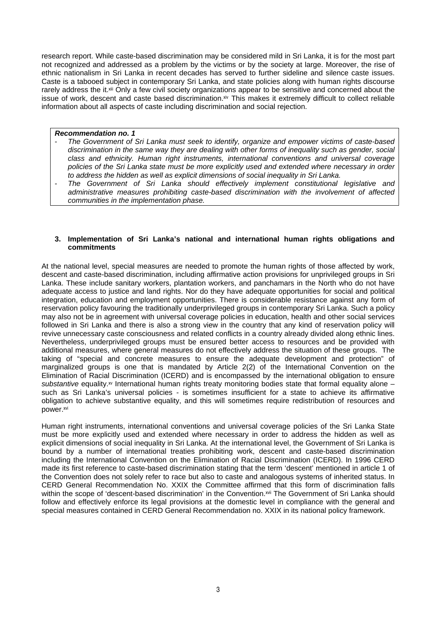research report. While caste-based discrimination may be considered mild in Sri Lanka, it is for the most part not recognized and addressed as a problem by the victims or by the society at large. Moreover, the rise of ethnic nationalism in Sri Lanka in recent decades has served to further sideline and silence caste issues. Caste is a tabooed subject in contemporary Sri Lanka, and state policies along with human rights discourse rarely address the it.<sup>xiii</sup> Only a few civil society organizations appear to be sensitive and concerned about the issue of work, descent and caste based discrimination.<sup>xiv</sup> This makes it extremely difficult to collect reliable information about all aspects of caste including discrimination and social rejection.

#### **Recommendation no. 1**

- The Government of Sri Lanka must seek to identify, organize and empower victims of caste-based discrimination in the same way they are dealing with other forms of inequality such as gender, social class and ethnicity. Human right instruments, international conventions and universal coverage policies of the Sri Lanka state must be more explicitly used and extended where necessary in order to address the hidden as well as explicit dimensions of social inequality in Sri Lanka.
- The Government of Sri Lanka should effectively implement constitutional legislative and administrative measures prohibiting caste-based discrimination with the involvement of affected communities in the implementation phase.

#### **3. Implementation of Sri Lanka's national and international human rights obligations and commitments**

At the national level, special measures are needed to promote the human rights of those affected by work, descent and caste-based discrimination, including affirmative action provisions for unprivileged groups in Sri Lanka. These include sanitary workers, plantation workers, and panchamars in the North who do not have adequate access to justice and land rights. Nor do they have adequate opportunities for social and political integration, education and employment opportunities. There is considerable resistance against any form of reservation policy favouring the traditionally underprivileged groups in contemporary Sri Lanka. Such a policy may also not be in agreement with universal coverage policies in education, health and other social services followed in Sri Lanka and there is also a strong view in the country that any kind of reservation policy will revive unnecessary caste consciousness and related conflicts in a country already divided along ethnic lines. Nevertheless, underprivileged groups must be ensured better access to resources and be provided with additional measures, where general measures do not effectively address the situation of these groups. The taking of "special and concrete measures to ensure the adequate development and protection" of marginalized groups is one that is mandated by Article 2(2) of the International Convention on the Elimination of Racial Discrimination (ICERD) and is encompassed by the international obligation to ensure substantive equality. $x$  International human rights treaty monitoring bodies state that formal equality alone – such as Sri Lanka's universal policies - is sometimes insufficient for a state to achieve its affirmative obligation to achieve substantive equality, and this will sometimes require redistribution of resources and power.xvi

Human right instruments, international conventions and universal coverage policies of the Sri Lanka State must be more explicitly used and extended where necessary in order to address the hidden as well as explicit dimensions of social inequality in Sri Lanka. At the international level, the Government of Sri Lanka is bound by a number of international treaties prohibiting work, descent and caste-based discrimination including the International Convention on the Elimination of Racial Discrimination (ICERD). In 1996 CERD made its first reference to caste-based discrimination stating that the term 'descent' mentioned in article 1 of the Convention does not solely refer to race but also to caste and analogous systems of inherited status. In CERD General Recommendation No. XXIX the Committee affirmed that this form of discrimination falls within the scope of 'descent-based discrimination' in the Convention.<sup>xvii</sup> The Government of Sri Lanka should follow and effectively enforce its legal provisions at the domestic level in compliance with the general and special measures contained in CERD General Recommendation no. XXIX in its national policy framework.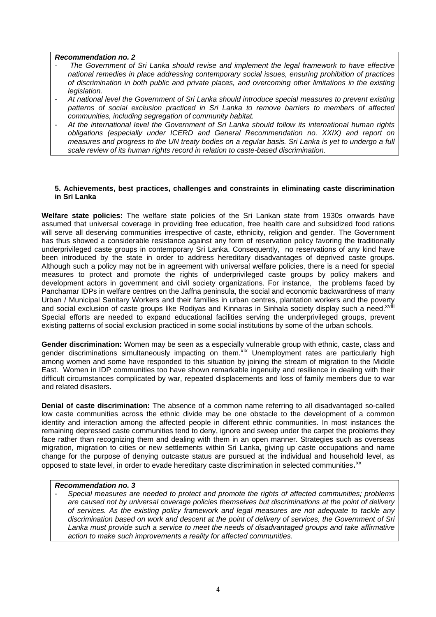#### **Recommendation no. 2**

- The Government of Sri Lanka should revise and implement the legal framework to have effective national remedies in place addressing contemporary social issues, ensuring prohibition of practices of discrimination in both public and private places, and overcoming other limitations in the existing legislation.
- At national level the Government of Sri Lanka should introduce special measures to prevent existing patterns of social exclusion practiced in Sri Lanka to remove barriers to members of affected communities, including segregation of community habitat.
- At the international level the Government of Sri Lanka should follow its international human rights obligations (especially under ICERD and General Recommendation no. XXIX) and report on measures and progress to the UN treaty bodies on a regular basis. Sri Lanka is yet to undergo a full scale review of its human rights record in relation to caste-based discrimination.

#### **5. Achievements, best practices, challenges and constraints in eliminating caste discrimination in Sri Lanka**

**Welfare state policies:** The welfare state policies of the Sri Lankan state from 1930s onwards have assumed that universal coverage in providing free education, free health care and subsidized food rations will serve all deserving communities irrespective of caste, ethnicity, religion and gender. The Government has thus showed a considerable resistance against any form of reservation policy favoring the traditionally underprivileged caste groups in contemporary Sri Lanka. Consequently, no reservations of any kind have been introduced by the state in order to address hereditary disadvantages of deprived caste groups. Although such a policy may not be in agreement with universal welfare policies, there is a need for special measures to protect and promote the rights of underprivileged caste groups by policy makers and development actors in government and civil society organizations. For instance, the problems faced by Panchamar IDPs in welfare centres on the Jaffna peninsula, the social and economic backwardness of many Urban / Municipal Sanitary Workers and their families in urban centres, plantation workers and the poverty and social exclusion of caste groups like Rodiyas and Kinnaras in Sinhala society display such a need.<sup>xviii</sup> Special efforts are needed to expand educational facilities serving the underprivileged groups, prevent existing patterns of social exclusion practiced in some social institutions by some of the urban schools.

**Gender discrimination:** Women may be seen as a especially vulnerable group with ethnic, caste, class and gender discriminations simultaneously impacting on them. XIX Unemployment rates are particularly high among women and some have responded to this situation by joining the stream of migration to the Middle East. Women in IDP communities too have shown remarkable ingenuity and resilience in dealing with their difficult circumstances complicated by war, repeated displacements and loss of family members due to war and related disasters.

**Denial of caste discrimination:** The absence of a common name referring to all disadvantaged so-called low caste communities across the ethnic divide may be one obstacle to the development of a common identity and interaction among the affected people in different ethnic communities. In most instances the remaining depressed caste communities tend to deny, ignore and sweep under the carpet the problems they face rather than recognizing them and dealing with them in an open manner. Strategies such as overseas migration, migration to cities or new settlements within Sri Lanka, giving up caste occupations and name change for the purpose of denying outcaste status are pursued at the individual and household level, as opposed to state level, in order to evade hereditary caste discrimination in selected communities. XX

#### **Recommendation no. 3**

Special measures are needed to protect and promote the rights of affected communities; problems are caused not by universal coverage policies themselves but discriminations at the point of delivery of services. As the existing policy framework and legal measures are not adequate to tackle any discrimination based on work and descent at the point of delivery of services, the Government of Sri Lanka must provide such a service to meet the needs of disadvantaged groups and take affirmative action to make such improvements a reality for affected communities.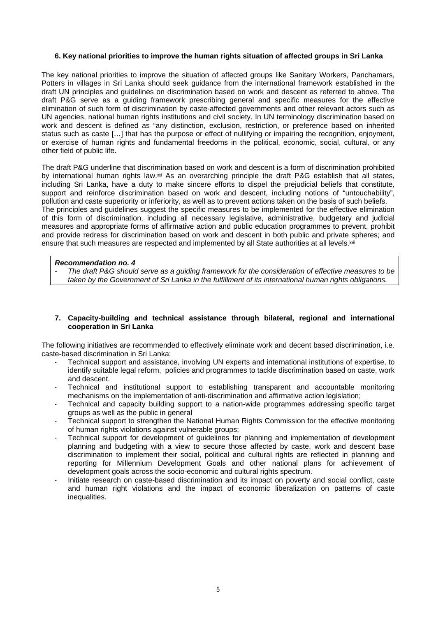#### **6. Key national priorities to improve the human rights situation of affected groups in Sri Lanka**

The key national priorities to improve the situation of affected groups like Sanitary Workers, Panchamars, Potters in villages in Sri Lanka should seek guidance from the international framework established in the draft UN principles and guidelines on discrimination based on work and descent as referred to above. The draft P&G serve as a guiding framework prescribing general and specific measures for the effective elimination of such form of discrimination by caste-affected governments and other relevant actors such as UN agencies, national human rights institutions and civil society. In UN terminology discrimination based on work and descent is defined as "any distinction, exclusion, restriction, or preference based on inherited status such as caste […] that has the purpose or effect of nullifying or impairing the recognition, enjoyment, or exercise of human rights and fundamental freedoms in the political, economic, social, cultural, or any other field of public life.

The draft P&G underline that discrimination based on work and descent is a form of discrimination prohibited by international human rights law.xxi As an overarching principle the draft P&G establish that all states, including Sri Lanka, have a duty to make sincere efforts to dispel the prejudicial beliefs that constitute, support and reinforce discrimination based on work and descent, including notions of "untouchability", pollution and caste superiority or inferiority, as well as to prevent actions taken on the basis of such beliefs. The principles and quidelines suggest the specific measures to be implemented for the effective elimination of this form of discrimination, including all necessary legislative, administrative, budgetary and judicial measures and appropriate forms of affirmative action and public education programmes to prevent, prohibit and provide redress for discrimination based on work and descent in both public and private spheres; and ensure that such measures are respected and implemented by all State authorities at all levels.<sup>xxii</sup>

#### **Recommendation no. 4**

The draft P&G should serve as a quiding framework for the consideration of effective measures to be taken by the Government of Sri Lanka in the fulfillment of its international human rights obligations.

#### **7. Capacity-building and technical assistance through bilateral, regional and international cooperation in Sri Lanka**

The following initiatives are recommended to effectively eliminate work and decent based discrimination, i.e. caste-based discrimination in Sri Lanka:

- Technical support and assistance, involving UN experts and international institutions of expertise, to identify suitable legal reform, policies and programmes to tackle discrimination based on caste, work and descent.
- Technical and institutional support to establishing transparent and accountable monitoring mechanisms on the implementation of anti-discrimination and affirmative action legislation;
- Technical and capacity building support to a nation-wide programmes addressing specific target groups as well as the public in general
- Technical support to strengthen the National Human Rights Commission for the effective monitoring of human rights violations against vulnerable groups;
- Technical support for development of guidelines for planning and implementation of development planning and budgeting with a view to secure those affected by caste, work and descent base discrimination to implement their social, political and cultural rights are reflected in planning and reporting for Millennium Development Goals and other national plans for achievement of development goals across the socio-economic and cultural rights spectrum.
- Initiate research on caste-based discrimination and its impact on poverty and social conflict, caste and human right violations and the impact of economic liberalization on patterns of caste inequalities.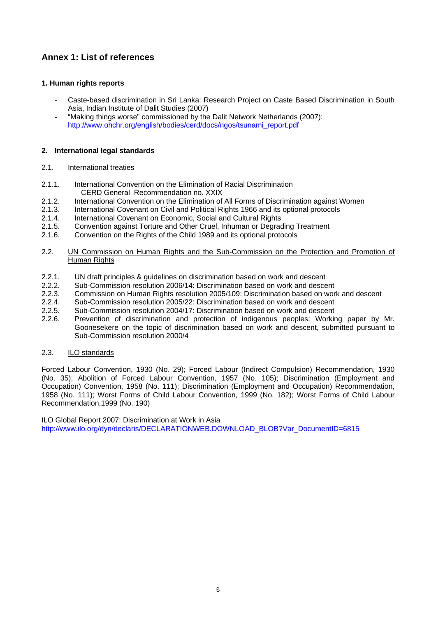### **Annex 1: List of references**

#### **1. Human rights reports**

- Caste-based discrimination in Sri Lanka: Research Project on Caste Based Discrimination in South Asia, Indian Institute of Dalit Studies (2007)
- "Making things worse" commissioned by the Dalit Network Netherlands (2007): http://www.ohchr.org/english/bodies/cerd/docs/ngos/tsunami\_report.pdf

#### **2. International legal standards**

#### 2.1. International treaties

- 2.1.1. International Convention on the Elimination of Racial Discrimination CERD General Recommendation no. XXIX
- 2.1.2. International Convention on the Elimination of All Forms of Discrimination against Women
- 2.1.3. International Covenant on Civil and Political Rights 1966 and its optional protocols
- 2.1.4. International Covenant on Economic, Social and Cultural Rights
- 2.1.5. Convention against Torture and Other Cruel, Inhuman or Degrading Treatment
- 2.1.6. Convention on the Rights of the Child 1989 and its optional protocols
- 2.2. UN Commission on Human Rights and the Sub-Commission on the Protection and Promotion of Human Rights
- 2.2.1. UN draft principles & guidelines on discrimination based on work and descent
- 2.2.2. Sub-Commission resolution 2006/14: Discrimination based on work and descent
- 2.2.3. Commission on Human Rights resolution 2005/109: Discrimination based on work and descent
- 2.2.4. Sub-Commission resolution 2005/22: Discrimination based on work and descent
- 2.2.5. Sub-Commission resolution 2004/17: Discrimination based on work and descent
- 2.2.6. Prevention of discrimination and protection of indigenous peoples: Working paper by Mr. Goonesekere on the topic of discrimination based on work and descent, submitted pursuant to Sub-Commission resolution 2000/4
- 2.3. ILO standards

Forced Labour Convention, 1930 (No. 29); Forced Labour (Indirect Compulsion) Recommendation, 1930 (No. 35); Abolition of Forced Labour Convention, 1957 (No. 105); Discrimination (Employment and Occupation) Convention, 1958 (No. 111); Discrimination (Employment and Occupation) Recommendation, 1958 (No. 111); Worst Forms of Child Labour Convention, 1999 (No. 182); Worst Forms of Child Labour Recommendation,1999 (No. 190)

ILO Global Report 2007: Discrimination at Work in Asia http://www.ilo.org/dyn/declaris/DECLARATIONWEB.DOWNLOAD\_BLOB?Var\_DocumentID=6815